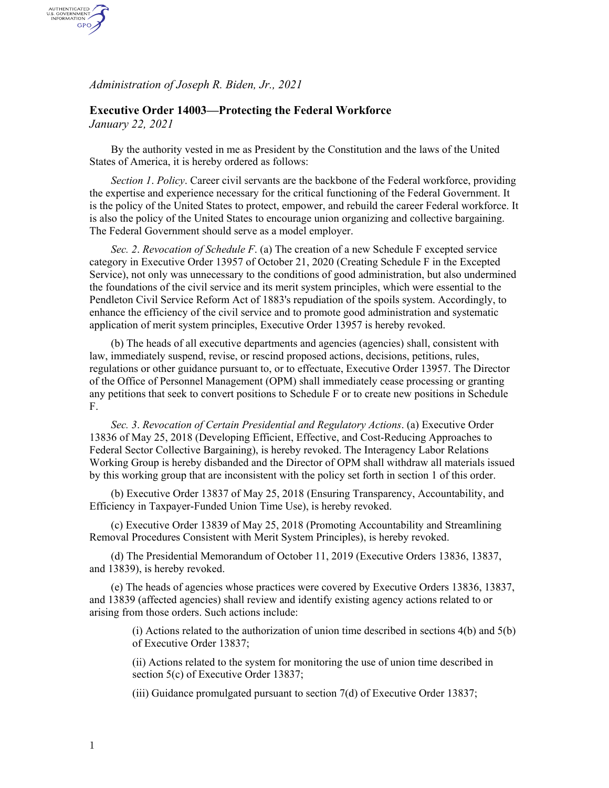*Administration of Joseph R. Biden, Jr., 2021*

## **Executive Order 14003—Protecting the Federal Workforce**

*January 22, 2021*

AUTHENTICATED<br>U.S. GOVERNMENT<br>INFORMATION GPO

> By the authority vested in me as President by the Constitution and the laws of the United States of America, it is hereby ordered as follows:

*Section 1*. *Policy*. Career civil servants are the backbone of the Federal workforce, providing the expertise and experience necessary for the critical functioning of the Federal Government. It is the policy of the United States to protect, empower, and rebuild the career Federal workforce. It is also the policy of the United States to encourage union organizing and collective bargaining. The Federal Government should serve as a model employer.

*Sec. 2*. *Revocation of Schedule F*. (a) The creation of a new Schedule F excepted service category in Executive Order 13957 of October 21, 2020 (Creating Schedule F in the Excepted Service), not only was unnecessary to the conditions of good administration, but also undermined the foundations of the civil service and its merit system principles, which were essential to the Pendleton Civil Service Reform Act of 1883's repudiation of the spoils system. Accordingly, to enhance the efficiency of the civil service and to promote good administration and systematic application of merit system principles, Executive Order 13957 is hereby revoked.

(b) The heads of all executive departments and agencies (agencies) shall, consistent with law, immediately suspend, revise, or rescind proposed actions, decisions, petitions, rules, regulations or other guidance pursuant to, or to effectuate, Executive Order 13957. The Director of the Office of Personnel Management (OPM) shall immediately cease processing or granting any petitions that seek to convert positions to Schedule F or to create new positions in Schedule F.

*Sec. 3*. *Revocation of Certain Presidential and Regulatory Actions*. (a) Executive Order 13836 of May 25, 2018 (Developing Efficient, Effective, and Cost-Reducing Approaches to Federal Sector Collective Bargaining), is hereby revoked. The Interagency Labor Relations Working Group is hereby disbanded and the Director of OPM shall withdraw all materials issued by this working group that are inconsistent with the policy set forth in section 1 of this order.

(b) Executive Order 13837 of May 25, 2018 (Ensuring Transparency, Accountability, and Efficiency in Taxpayer-Funded Union Time Use), is hereby revoked.

(c) Executive Order 13839 of May 25, 2018 (Promoting Accountability and Streamlining Removal Procedures Consistent with Merit System Principles), is hereby revoked.

(d) The Presidential Memorandum of October 11, 2019 (Executive Orders 13836, 13837, and 13839), is hereby revoked.

(e) The heads of agencies whose practices were covered by Executive Orders 13836, 13837, and 13839 (affected agencies) shall review and identify existing agency actions related to or arising from those orders. Such actions include:

(i) Actions related to the authorization of union time described in sections 4(b) and 5(b) of Executive Order 13837;

(ii) Actions related to the system for monitoring the use of union time described in section 5(c) of Executive Order 13837;

(iii) Guidance promulgated pursuant to section 7(d) of Executive Order 13837;